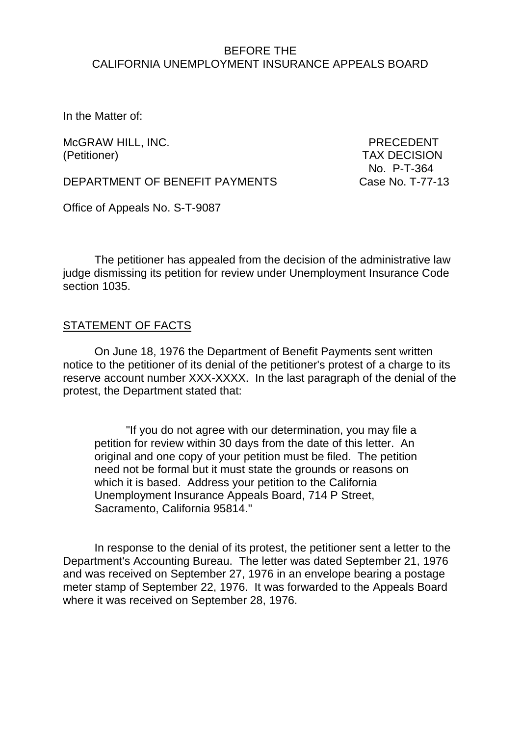#### BEFORE THE CALIFORNIA UNEMPLOYMENT INSURANCE APPEALS BOARD

In the Matter of:

McGRAW HILL, INC. The contract of the present of the precedent of the present of the present of the precedent (Petitioner) TAX DECISION

No. P-T-364

DEPARTMENT OF BENEFIT PAYMENTS Case No. T-77-13

Office of Appeals No. S-T-9087

The petitioner has appealed from the decision of the administrative law judge dismissing its petition for review under Unemployment Insurance Code section 1035.

### STATEMENT OF FACTS

On June 18, 1976 the Department of Benefit Payments sent written notice to the petitioner of its denial of the petitioner's protest of a charge to its reserve account number XXX-XXXX. In the last paragraph of the denial of the protest, the Department stated that:

"If you do not agree with our determination, you may file a petition for review within 30 days from the date of this letter. An original and one copy of your petition must be filed. The petition need not be formal but it must state the grounds or reasons on which it is based. Address your petition to the California Unemployment Insurance Appeals Board, 714 P Street, Sacramento, California 95814."

In response to the denial of its protest, the petitioner sent a letter to the Department's Accounting Bureau. The letter was dated September 21, 1976 and was received on September 27, 1976 in an envelope bearing a postage meter stamp of September 22, 1976. It was forwarded to the Appeals Board where it was received on September 28, 1976.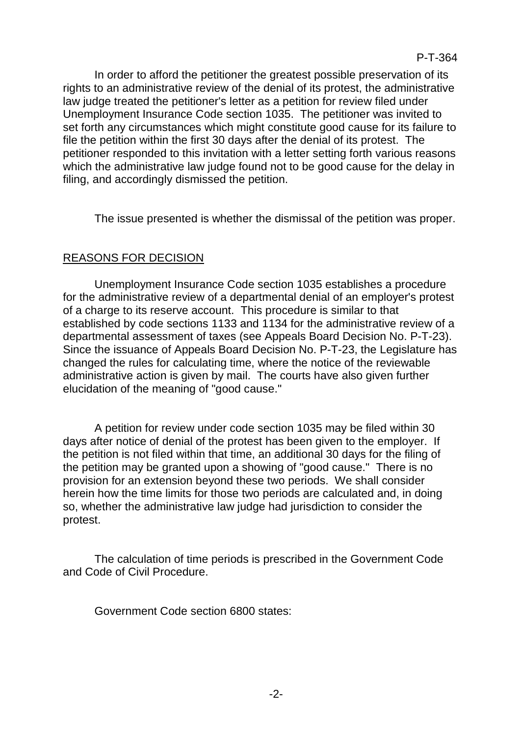In order to afford the petitioner the greatest possible preservation of its rights to an administrative review of the denial of its protest, the administrative law judge treated the petitioner's letter as a petition for review filed under Unemployment Insurance Code section 1035. The petitioner was invited to set forth any circumstances which might constitute good cause for its failure to file the petition within the first 30 days after the denial of its protest. The petitioner responded to this invitation with a letter setting forth various reasons which the administrative law judge found not to be good cause for the delay in filing, and accordingly dismissed the petition.

The issue presented is whether the dismissal of the petition was proper.

### REASONS FOR DECISION

Unemployment Insurance Code section 1035 establishes a procedure for the administrative review of a departmental denial of an employer's protest of a charge to its reserve account. This procedure is similar to that established by code sections 1133 and 1134 for the administrative review of a departmental assessment of taxes (see Appeals Board Decision No. P-T-23). Since the issuance of Appeals Board Decision No. P-T-23, the Legislature has changed the rules for calculating time, where the notice of the reviewable administrative action is given by mail. The courts have also given further elucidation of the meaning of "good cause."

A petition for review under code section 1035 may be filed within 30 days after notice of denial of the protest has been given to the employer. If the petition is not filed within that time, an additional 30 days for the filing of the petition may be granted upon a showing of "good cause." There is no provision for an extension beyond these two periods. We shall consider herein how the time limits for those two periods are calculated and, in doing so, whether the administrative law judge had jurisdiction to consider the protest.

The calculation of time periods is prescribed in the Government Code and Code of Civil Procedure.

Government Code section 6800 states: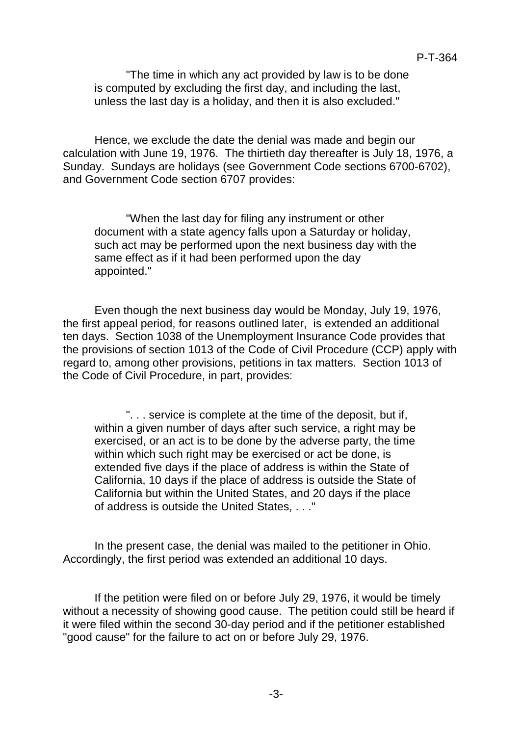"The time in which any act provided by law is to be done is computed by excluding the first day, and including the last, unless the last day is a holiday, and then it is also excluded."

Hence, we exclude the date the denial was made and begin our calculation with June 19, 1976. The thirtieth day thereafter is July 18, 1976, a Sunday. Sundays are holidays (see Government Code sections 6700-6702), and Government Code section 6707 provides:

"When the last day for filing any instrument or other document with a state agency falls upon a Saturday or holiday, such act may be performed upon the next business day with the same effect as if it had been performed upon the day appointed."

Even though the next business day would be Monday, July 19, 1976, the first appeal period, for reasons outlined later, is extended an additional ten days. Section 1038 of the Unemployment Insurance Code provides that the provisions of section 1013 of the Code of Civil Procedure (CCP) apply with regard to, among other provisions, petitions in tax matters. Section 1013 of the Code of Civil Procedure, in part, provides:

". . . service is complete at the time of the deposit, but if, within a given number of days after such service, a right may be exercised, or an act is to be done by the adverse party, the time within which such right may be exercised or act be done, is extended five days if the place of address is within the State of California, 10 days if the place of address is outside the State of California but within the United States, and 20 days if the place of address is outside the United States, . . ."

In the present case, the denial was mailed to the petitioner in Ohio. Accordingly, the first period was extended an additional 10 days.

If the petition were filed on or before July 29, 1976, it would be timely without a necessity of showing good cause. The petition could still be heard if it were filed within the second 30-day period and if the petitioner established "good cause" for the failure to act on or before July 29, 1976.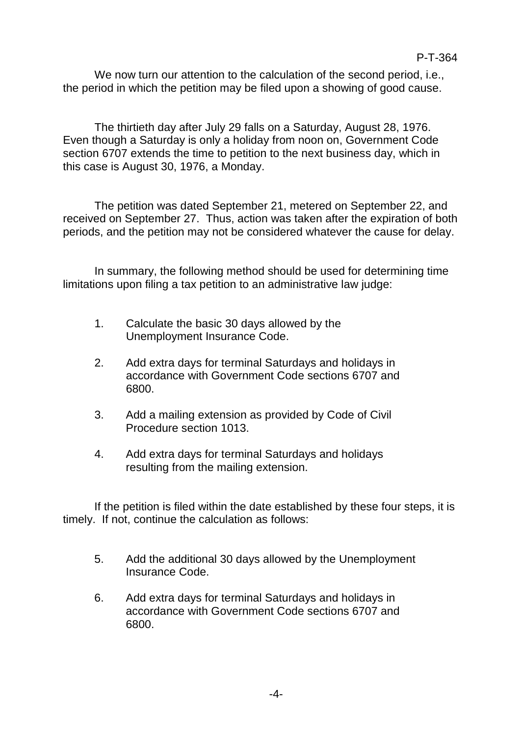We now turn our attention to the calculation of the second period, i.e., the period in which the petition may be filed upon a showing of good cause.

The thirtieth day after July 29 falls on a Saturday, August 28, 1976. Even though a Saturday is only a holiday from noon on, Government Code section 6707 extends the time to petition to the next business day, which in this case is August 30, 1976, a Monday.

The petition was dated September 21, metered on September 22, and received on September 27. Thus, action was taken after the expiration of both periods, and the petition may not be considered whatever the cause for delay.

In summary, the following method should be used for determining time limitations upon filing a tax petition to an administrative law judge:

- 1. Calculate the basic 30 days allowed by the Unemployment Insurance Code.
- 2. Add extra days for terminal Saturdays and holidays in accordance with Government Code sections 6707 and 6800.
- 3. Add a mailing extension as provided by Code of Civil Procedure section 1013.
- 4. Add extra days for terminal Saturdays and holidays resulting from the mailing extension.

If the petition is filed within the date established by these four steps, it is timely. If not, continue the calculation as follows:

- 5. Add the additional 30 days allowed by the Unemployment Insurance Code.
- 6. Add extra days for terminal Saturdays and holidays in accordance with Government Code sections 6707 and 6800.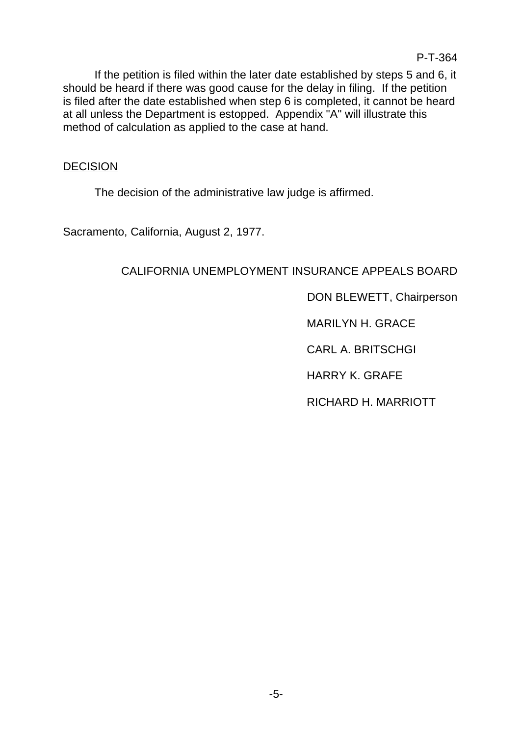If the petition is filed within the later date established by steps 5 and 6, it should be heard if there was good cause for the delay in filing. If the petition is filed after the date established when step 6 is completed, it cannot be heard at all unless the Department is estopped. Appendix "A" will illustrate this method of calculation as applied to the case at hand.

## **DECISION**

The decision of the administrative law judge is affirmed.

Sacramento, California, August 2, 1977.

# CALIFORNIA UNEMPLOYMENT INSURANCE APPEALS BOARD

DON BLEWETT, Chairperson

MARILYN H. GRACE

CARL A. BRITSCHGI

HARRY K. GRAFE

RICHARD H. MARRIOTT